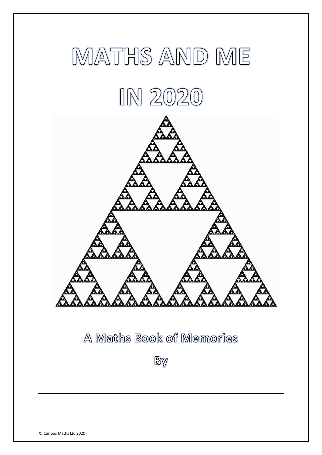

# A Maths Book of Memories

By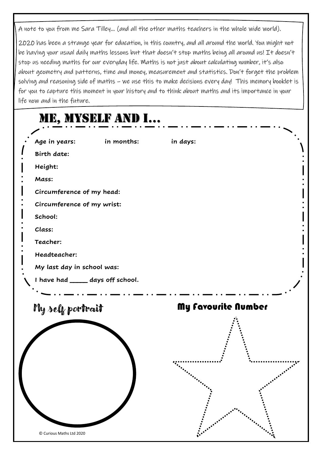A note to you from me Sara Tilley… (and all the other maths teachers in the whole wide world).

2020 has been a strange year for education, in this country, and all around the world. You might not be having your usual daily maths lessons but that doesn't stop maths being all around us! It doesn't stop us needing maths for our everyday life. Maths is not just about calculating number, it's also about geometry and patterns, time and money, measurement and statistics. Don't forget the problem solving and reasoning side of maths – we use this to make decisions every day! This memory booklet is for you to capture this moment in your history and to think about maths and its importance in your life now and in the future.

|                                                                                                                  | ME, MYSELF AND I |                     |
|------------------------------------------------------------------------------------------------------------------|------------------|---------------------|
| Age in years:<br>Birth date:<br>Height:<br>Mass:<br>Circumference of my head:<br>Circumference of my wrist:      | in months:       | in days:            |
| School:<br>Class:<br>Teacher:<br>Headteacher:<br>My last day in school was:<br>I have had _____ days off school. |                  |                     |
| My self portrait                                                                                                 |                  | My favourite Number |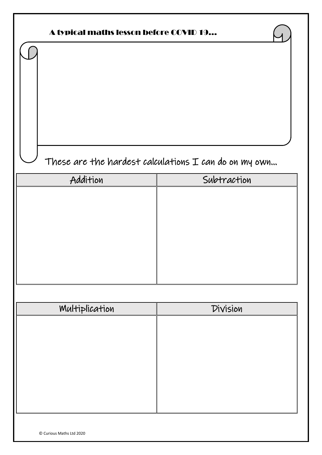| A typical maths lesson before COVID 19                  |             |  |  |  |  |  |  |  |  |
|---------------------------------------------------------|-------------|--|--|--|--|--|--|--|--|
|                                                         |             |  |  |  |  |  |  |  |  |
| These are the hardest calculations $I$ can do on my own |             |  |  |  |  |  |  |  |  |
| Addition                                                | Subtraction |  |  |  |  |  |  |  |  |
|                                                         |             |  |  |  |  |  |  |  |  |
| Multiplication                                          | Division    |  |  |  |  |  |  |  |  |
|                                                         |             |  |  |  |  |  |  |  |  |

© Curious Maths Ltd 2020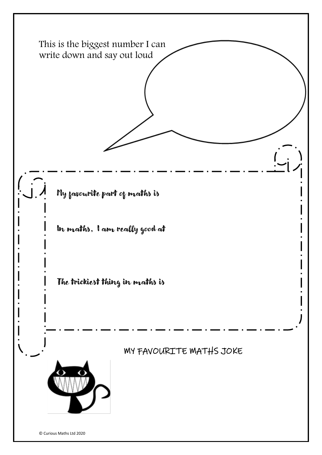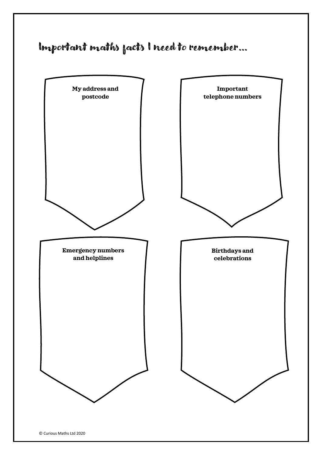## Important maths facts I need to remember…

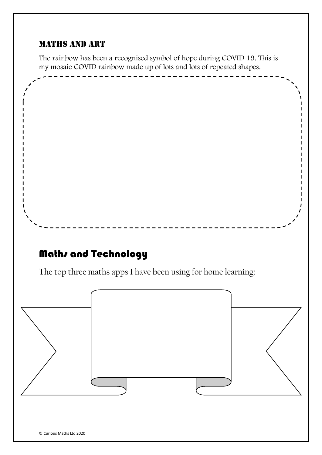#### Maths and art

The rainbow has been a recognised symbol of hope during COVID 19. This is my mosaic COVID rainbow made up of lots and lots of repeated shapes.

------

### Maths and Technology

The top three maths apps I have been using for home learning:

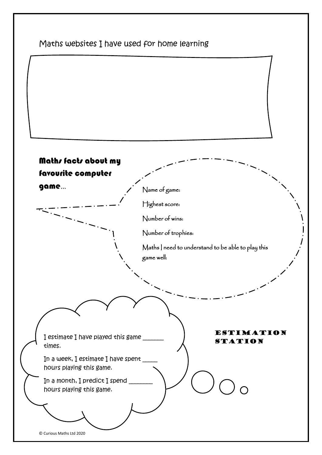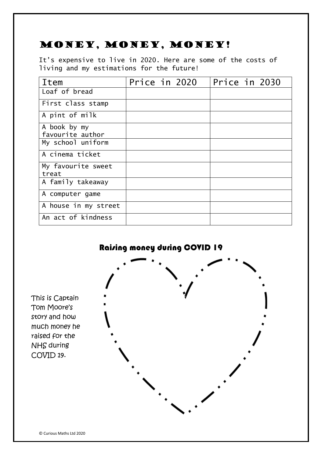### Money, money, money!

It's expensive to live in 2020. Here are some of the costs of living and my estimations for the future!

| <b>Item</b>          | Price in 2020 |  | Price in 2030 |  |
|----------------------|---------------|--|---------------|--|
| Loaf of bread        |               |  |               |  |
| First class stamp    |               |  |               |  |
| A pint of milk       |               |  |               |  |
| A book by my         |               |  |               |  |
| favourite author     |               |  |               |  |
| My school uniform    |               |  |               |  |
| A cinema ticket      |               |  |               |  |
| My favourite sweet   |               |  |               |  |
| treat                |               |  |               |  |
| A family takeaway    |               |  |               |  |
| A computer game      |               |  |               |  |
| A house in my street |               |  |               |  |
| An act of kindness   |               |  |               |  |



This is Captain Tom Moore's story and how much money he raised for the NHS during COVID 19.

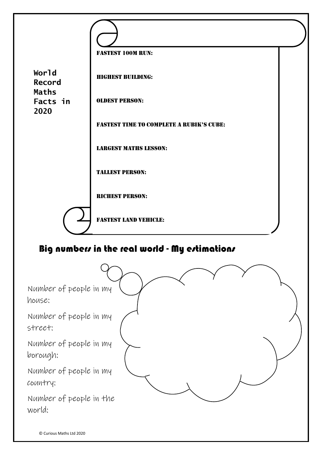